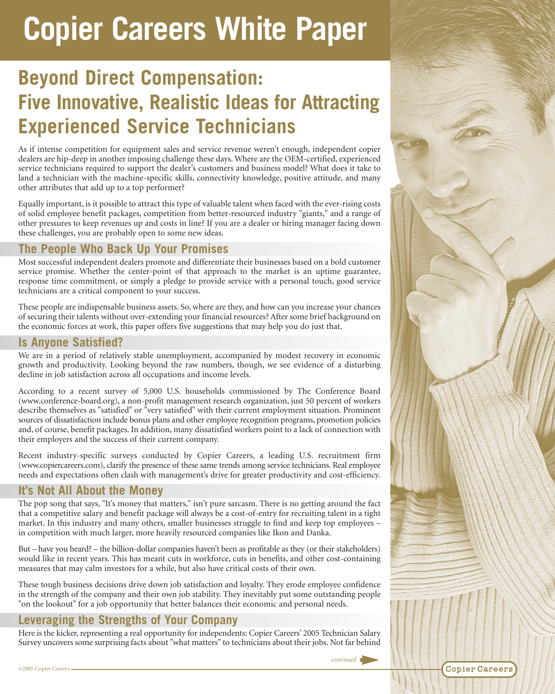# **Copier Careers White Paper**

# **Beyond Direct Compensation: Five Innovative, Realistic Ideas for Attracting Experienced Service Technicians**

As if intense competition for equipment sales and service revenue weren't enough, independent copier dealers are hip-deep in another imposing challenge these days. Where are the OEM-certified, experienced service technicians required to support the dealer's customers and business model? What does it take to land a technician with the machine-specific skills, connectivity knowledge, positive attitude, and many other attributes that add up to a top performer?

Equally important, is it possible to attract this type of valuable talent when faced with the ever-rising costs of solid employee benefit packages, competition from better-resourced industry "giants," and a range of other pressures to keep revenues up and costs in line? If you are a dealer or hiring manager facing down these challenges, you are probably open to some new ideas.

# **The People Who Back Up Your Promises**

Most successful independent dealers promote and differentiate their businesses based on a bold customer service promise. Whether the center-point of that approach to the market is an uptime guarantee, response time commitment, or simply a pledge to provide service with a personal touch, good service technicians are a critical component to your success.

These people are indispensable business assets. So, where are they, and how can you increase your chances of securing their talents without over-extending your financial resources? After some brief background on the economic forces at work, this paper offers five suggestions that may help you do just that.

# **Is Anyone Satisfied?**

We are in a period of relatively stable unemployment, accompanied by modest recovery in economic growth and productivity. Looking beyond the raw numbers, though, we see evidence of a disturbing decline in job satisfaction across all occupations and income levels.

According to a recent survey of 5,000 U.S. households commissioned by The Conference Board (www.conference-board.org), a non-profit management research organization, just 50 percent of workers describe themselves as "satisfied" or "very satisfied" with their current employment situation. Prominent sources of dissatisfaction include bonus plans and other employee recognition programs, promotion policies and, of course, benefit packages. In addition, many dissatisfied workers point to a lack of connection with their employers and the success of their current company.

Recent industry-specific surveys conducted by Copier Careers, a leading U.S. recruitment firm (www.copiercareers.com), clarify the presence of these same trends among service technicians. Real employee needs and expectations often clash with management's drive for greater productivity and cost-efficiency.

# **It's Not All About the Money**

The pop song that says, "It's money that matters," isn't pure sarcasm. There is no getting around the fact that a competitive salary and benefit package will always be a cost-of-entry for recruiting talent in a tight market. In this industry and many others, smaller businesses struggle to find and keep top employees – in competition with much larger, more heavily resourced companies like Ikon and Danka.

But – have you heard? – the billion-dollar companies haven't been as profitable as they (or their stakeholders) would like in recent years. This has meant cuts in workforce, cuts in benefits, and other cost-containing measures that may calm investors for a while, but also have critical costs of their own.

These tough business decisions drive down job satisfaction and loyalty. They erode employee confidence in the strength of the company and their own job stability. They inevitably put some outstanding people "on the lookout" for a job opportunity that better balances their economic and personal needs.

## **Leveraging the Strengths of Your Company**

Here is the kicker, representing a real opportunity for independents: Copier Careers' 2005 Technician Salary Survey uncovers some surprising facts about "what matters" to technicians about their jobs. Not far behind



**Copier Careers** 

©2005 Copier Careers